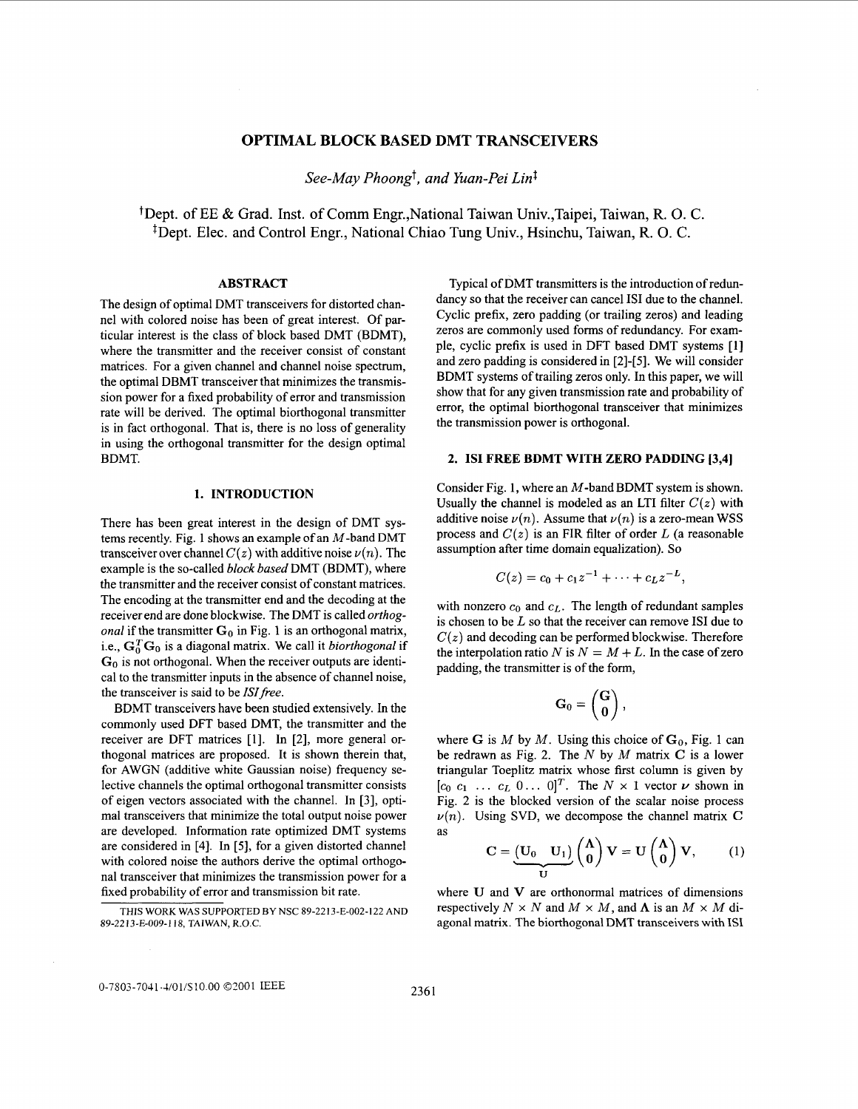# **OPTIMAL BLOCK BASED DMT TRANSCEIVERS**

*See-May Phoongt, and Yuan-Pei Lid* 

+Dept. of EE & Grad. Inst. of Comm Engr.,National Taiwan Univ.,Taipei, Taiwan, R. 0. C. <sup>‡</sup>Dept. Elec. and Control Engr., National Chiao Tung Univ., Hsinchu, Taiwan, R. O. C.

#### **ABSTRACT**

The design of optimal DMT transceivers for distorted channel with colored noise has been of great interest. Of particular interest is the class of block based DMT (BDMT), where the transmitter and the receiver consist of constant matrices. For a given channel and channel noise spectrum, the optimal DBMT transceiver that minimizes the transmission power for a fixed probability of error and transmission rate will be derived. The optimal biorthogonal transmitter is in fact orthogonal. That is, there is no loss of generality in using the orthogonal transmitter for the design optimal BDMT.

# **1. INTRODUCTION**

There has been great interest in the design of DMT systems recently. Fig. 1 shows an example of an  $M$ -band DMT transceiver over channel  $C(z)$  with additive noise  $\nu(n)$ . The example is the so-called *block based* DMT (BDMT), where the transmitter and the receiver consist of constant matrices. The encoding at the transmitter end and the decoding at the receiver end are done blockwise. The DMT is called *orthogonal* if the transmitter  $G_0$  in Fig. 1 is an orthogonal matrix, i.e.,  $\mathbf{G}_0^T\mathbf{G}_0$  is a diagonal matrix. We call it *biorthogonal* if **Go** is not orthogonal. When the receiver outputs are identical to the transmitter inputs in the absence of channel noise, the transceiver is said to be *ISI free.* 

BDMT transceivers have been studied extensively. In the commonly used DFT based DMT, the transmitter and the receiver are DFT matrices [l]. In [2], more general orthogonal matrices are proposed. It is shown therein that, for AWGN (additive white Gaussian noise) frequency selective channels the optimal orthogonal transmitter consists of eigen vectors associated with the channel. In [3], optimal transceivers that minimize the total output noise power are developed. Information rate optimized DMT systems are considered in [4]. In *[5],* for a given distorted channel with colored noise the authors derive the optimal orthogonal transceiver that minimizes the transmission power for a fixed probability of error and transmission bit rate.

THIS WORK WAS SUPPORTED BY NSC **89-2213-E-002-122** AND **89-22 13-E-009-1 18,** TAIWAN, R.O.C.

Typical of DMT transmitters is the introduction **of** redundancy so that the receiver can cancel **IS1** due to the channel. Cyclic prefix, zero padding (or trailing zeros) and leading zeros are commonly used forms of redundancy. For example, cyclic prefix is used in DFT based DMT systems [l] and zero padding is considered in [2]-[5]. We will consider BDMT systems of trailing zeros only. In this paper, we will show that for any given transmission rate and probability of error, the optimal biorthogonal transceiver that minimizes the transmission power is orthogonal.

#### **2. IS1 FREE BDMT WITH ZERO PADDING [3,4]**

Consider Fig. **1,** where an M-band BDMT system is shown. Usually the channel is modeled as an LTI filter  $C(z)$  with additive noise  $\nu(n)$ . Assume that  $\nu(n)$  is a zero-mean WSS process and *C(z)* is an FIR filter of order *L* (a reasonable assumption after time domain equalization). *So* 

$$
C(z) = c_0 + c_1 z^{-1} + \cdots + c_L z^{-L},
$$

with nonzero  $c_0$  and  $c_L$ . The length of redundant samples is chosen to be *L* so that the receiver can remove IS1 due to  $C(z)$  and decoding can be performed blockwise. Therefore the interpolation ratio *N* is  $N = M + L$ . In the case of zero padding, the transmitter is of the form,

$$
\mathbf{G}_0 = \begin{pmatrix} \mathbf{G} \\ \mathbf{0} \end{pmatrix},
$$

where G is *M* by *M*. Using this choice of  $G_0$ , Fig. 1 can be redrawn as Fig. 2. The *N* by *M* matrix C is a lower triangular Toeplitz matrix whose first column is given by  $[c_0 \ c_1 \ \ldots \ c_L \ 0 \ldots \ 0]^T$ . The  $N \times 1$  vector  $\nu$  shown in Fig. 2 is the blocked version of the scalar noise process  $\nu(n)$ . Using SVD, we decompose the channel matrix C **as** ..-  $G_0 = \begin{pmatrix} G \\ 0 \end{pmatrix}$ ,<br>is *M* by *M*. Using this choice of  $G_0$ , Fig. 1 can<br>vn as Fig. 2. The *N* by *M* matrix *C* is a lower<br> $G_1$  of  $G_2$ . The *N* is *N* and  $G_1$  is a lower<br>in the blocked version of the scalar noi

$$
C = \underbrace{(U_0 \quad U_1)}_{U} \begin{pmatrix} \Lambda \\ 0 \end{pmatrix} V = U \begin{pmatrix} \Lambda \\ 0 \end{pmatrix} V, \quad (1)
$$

where **U** and V are orthonormal matrices of dimensions respectively  $N \times N$  and  $M \times M$ , and  $\Lambda$  is an  $M \times M$  diagonal matrix. The biorthogonal DMT transceivers with **IS1**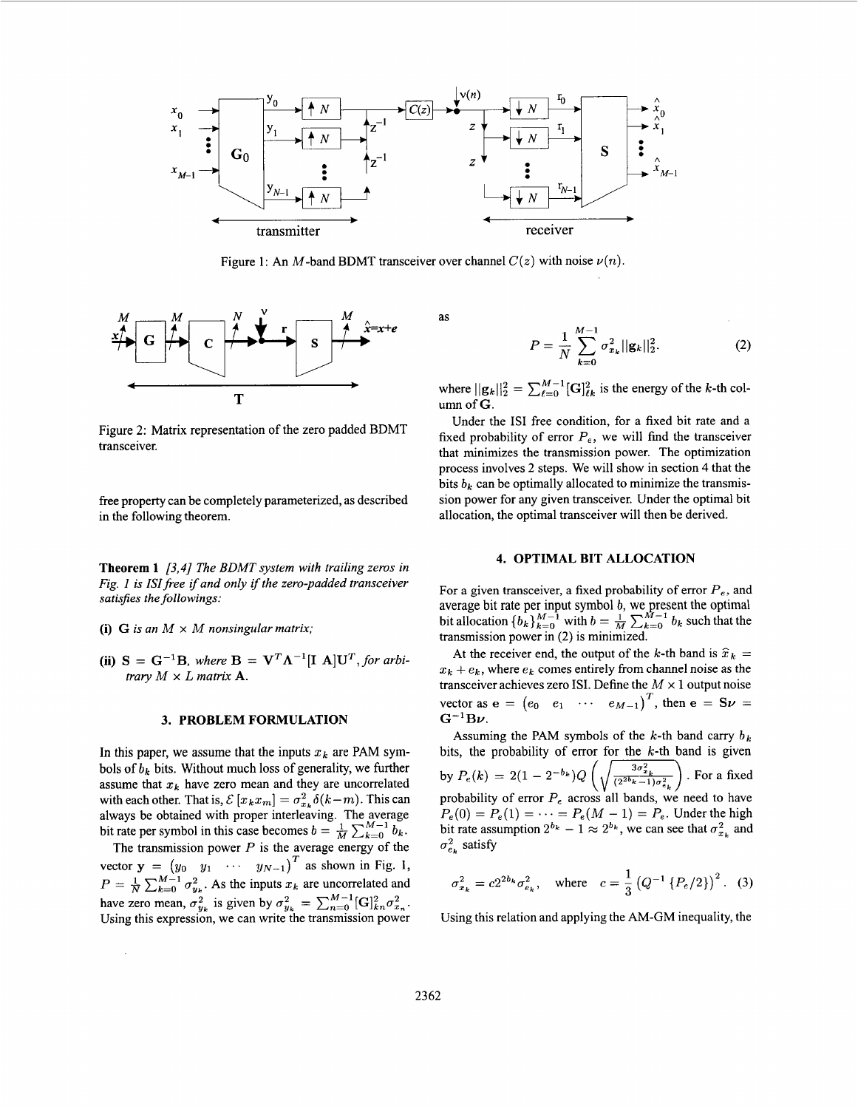

Figure 1: An *M*-band BDMT transceiver over channel  $C(z)$  with noise  $\nu(n)$ .



Figure 2: Matrix representation of the zero padded BDMT transceiver.

free property can be completely parameterized, as described in the following theorem.

**Theorem 1** *[3,4] The BDMT system with trailing zeros in Fig. 1 is ISI free if and only if the zero-padded transceiver satisfies the followings:* 

- **(i)**  $G$  *is an*  $M \times M$  *nonsingular matrix;*
- (ii)  $S = G^{-1}B$ , where  $B = V^T \Lambda^{-1} [I \t A] U^T$ , for arbi*trary*  $M \times L$  *matrix* **A**.

### **3. PROBLEM FORMULATION**

In this paper, we assume that the inputs  $x_k$  are PAM symbols of *bk* bits. Without much loss of generality, we further assume that  $x_k$  have zero mean and they are uncorrelated with each other. That is,  $\mathcal{E}[x_kx_m] = \sigma_{x_k}^2 \delta(k-m)$ . This can always be obtained with proper interleaving. The average bit rate per symbol in this case becomes  $b = \frac{1}{M} \sum_{k=0}^{M-1} b_k$ .

The transmission power *P* is the average energy of the vector  $y = (y_0 \ y_1 \ \cdots \ y_{N-1})^T$  as shown in Fig. 1, have zero mean,  $\sigma_{y_k}^2$  is given by  $\sigma_{y_k}^2 = \sum_{n=0}^{M-1} [\mathbf{G}]_{kn}^2 \sigma_{x_n}^2$ . Using this expression, we can write the transmission power *T*   $P = \frac{1}{N} \sum_{k=0}^{M-1} \sigma_{y_k}^2$ . As the inputs  $x_k$  are uncorrelated and  $y_k = \sum_{k=0}^{M-1} (C_1)^2 \sigma_k^2$ 

as

$$
P = \frac{1}{N} \sum_{k=0}^{M-1} \sigma_{x_k}^2 ||\mathbf{g}_k||_2^2.
$$
 (2)

where  $||\mathbf{g}_k||_2^2 = \sum_{\ell=0}^{M-1} [\mathbf{G}]_{\ell k}^2$  is the energy of the *k*-th column of *G*.

Under the **IS1** free condition, for a fixed bit rate and a fixed probability of error  $P_e$ , we will find the transceiver that minimizes the transmission power. The optimization process involves 2 steps. We will show in section 4 that the bits  $b_k$  can be optimally allocated to minimize the transmission power for any given transceiver. Under the optimal bit allocation, the optimal transceiver will then be derived.

#### **4. OPTIMAL BIT ALLOCATION**

For a given transceiver, a fixed probability of error  $P_e$ , and average bit rate per input symbol *b*, we present the optimal bit allocation  ${b_k}_{k=0}^{M-1}$  with  $b = \frac{1}{M} \sum_{k=0}^{M-1} b_k$  such that the transmission power in (2) is minimized.

At the receiver end, the output of the k-th band is  $\hat{x}_k =$  $x_k + e_k$ , where  $e_k$  comes entirely from channel noise as the transceiver achieves zero ISI. Define the  $M \times 1$  output noise vector as  $\mathbf{e} = (e_0 \quad e_1 \quad \cdots \quad e_{M-1})^T$ , then  $\mathbf{e} = \mathbf{S}\mathbf{v} =$  $G^{-1}B\nu$ .

Assuming the PAM symbols of the  $k$ -th band carry  $b_k$ bits, the probability of error for the  $k$ -th band is given by  $P_e(k) = 2(1 - 2^{-b_k})Q\left(\sqrt{\frac{3\sigma_{x_k}^2}{(2^{2b_k}-1)\sigma_{e_k}^2}}\right)$ . For a fixed probability of error  $P_e$  across all bands, we need to have  $P_e(0) = P_e(1) = \cdots = P_e(M - 1) = P_e$ . Under the high bit rate assumption  $2^{b_k} - 1 \approx 2^{b_k}$ , we can see that  $\sigma_{x_k}^2$  and  $\sigma_{e_k}^2$  satisfy

$$
\sigma_{x_k}^2 = c2^{2b_k} \sigma_{e_k}^2
$$
, where  $c = \frac{1}{3} (Q^{-1} \{P_e/2\})^2$ . (3)

Using this relation and applying the AM-GM inequality, the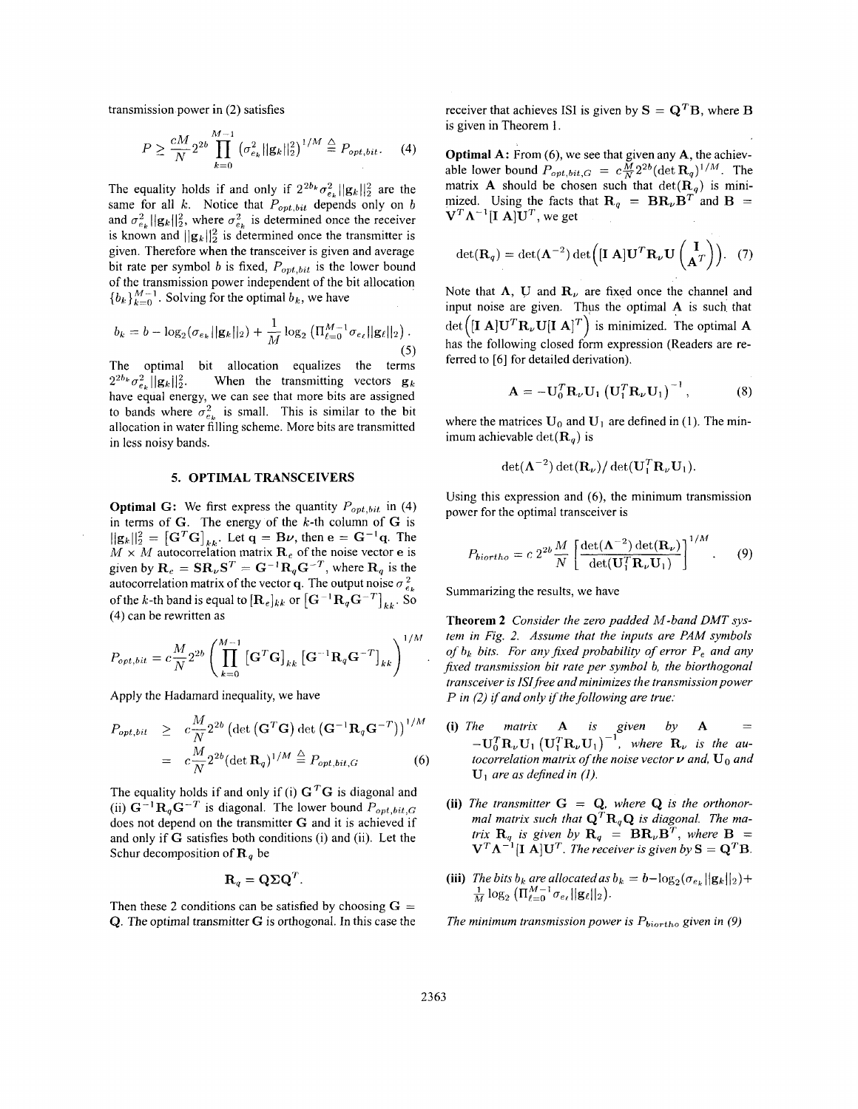transmission power in *(2)* satisfies

$$
P \ge \frac{cM}{N} 2^{2b} \prod_{k=0}^{M-1} \left( \sigma_{e_k}^2 ||\mathbf{g}_k||_2^2 \right)^{1/M} \stackrel{\triangle}{=} P_{opt, bit}.
$$
 (4)

The equality holds if and only if  $2^{2b_k}\sigma_{e_k}^2 ||g_k||_2^2$  are the same for all *k.* Notice that *Popt,bit* depends only on *b*  and  $\sigma_{e_k}^2 ||\mathbf{g}_k||_2^2$ , where  $\sigma_{e_k}^2$  is determined once the receiver is known and  $||\mathbf{g}_k||_2^2$  is determined once the transmitter is given. Therefore when the transceiver is given and average bit rate per symbol *b* is fixed, *Popt,bit* is the lower bound of the transmission power independent of the bit allocation  ${b_k}_{k=0}^{M-1}$ . Solving for the optimal  $b_k$ , we have

$$
b_k = b - \log_2(\sigma_{e_k} ||\mathbf{g}_k||_2) + \frac{1}{M} \log_2 \left( \prod_{\ell=0}^{M-1} \sigma_{e_\ell} ||\mathbf{g}_\ell||_2 \right).
$$
\n(5)

The optimal bit allocation equalizes the terms **(5)**   $2^{2b_k}\sigma_{e_i}^2 \cdot ||\mathbf{g}_k||_2^2$ . When the transmitting vectors  $\mathbf{g}_k$ have equal energy, we can see that more bits are assigned to bands where  $\sigma_{e_{\mu}}^2$  is small. This is similar to the bit allocation in water filling scheme. More bits are transmitted in less noisy bands.

### **5. OPTIMAL TRANSCEIVERS**

**Optimal G:** We first express the quantity  $P_{opt, bit}$  in (4) in terms of  $G$ . The energy of the  $k$ -th column of  $G$  is  $||\mathbf{g}_k||_2^2 = [\mathbf{G}^T \mathbf{G}]_{kk}$ . Let  $\mathbf{q} = \mathbf{B}\boldsymbol{\nu}$ , then  $\mathbf{e} = \mathbf{G}^{-1}\mathbf{q}$ . The  $M \times M$  autocorrelation matrix  $\mathbf{R}_e$  of the noise vector **e** is given by  $\mathbf{R}_e = \mathbf{S} \mathbf{R}_v \mathbf{S}^T = \mathbf{G}^{-1} \mathbf{R}_q \mathbf{G}^{-T}$ , where  $\mathbf{R}_q$  is the autocorrelation matrix of the vector **q**. The output noise  $\sigma_{e}^2$ of the k-th band is equal to  $[\mathbf{R}_e]_{kk}$  or  $[\mathbf{G}^{-1}\mathbf{R}_q\mathbf{G}^{-T}]_{kk}$ . So (4) can be rewritten as

$$
P_{opt, bit} = c \frac{M}{N} 2^{2b} \left( \prod_{k=0}^{M-1} \left[ \mathbf{G}^T \mathbf{G} \right]_{kk} \left[ \mathbf{G}^{-1} \mathbf{R}_q \mathbf{G}^{-T} \right]_{kk} \right)^{1/M}
$$

Apply the Hadamard inequality, we have

$$
P_{opt, bit} \geq c \frac{M}{N} 2^{2b} \left( \det \left( \mathbf{G}^T \mathbf{G} \right) \det \left( \mathbf{G}^{-1} \mathbf{R}_q \mathbf{G}^{-T} \right) \right)^{1/M}
$$
  
=  $c \frac{M}{N} 2^{2b} \left( \det \mathbf{R}_q \right)^{1/M} \stackrel{\triangle}{=} P_{opt, bit, G}$  (6)

The equality holds if and only if (i)  $G<sup>T</sup>G$  is diagonal and (ii)  $G^{-1}R_qG^{-T}$  is diagonal. The lower bound  $P_{opt,bit,G}$ does not depend on the transmitter G and it is achieved if and only if G satisfies both conditions (i) and (ii). Let the Schur decomposition of  $\mathbf{R}_q$  be

$$
\mathbf{R}_q = \mathbf{Q} \boldsymbol{\Sigma} \mathbf{Q}^T.
$$

Then these 2 conditions can be satisfied by choosing  $G =$ Q. The optimal transmitter G is orthogonal. In this case the

receiver that achieves ISI is given by  $S = Q^T B$ , where B is given in Theorem 1.

**Optimal** A: From **(6),** we see that given any A, the achievable lower bound  $P_{opt,bit,G} = c\frac{\tilde{M}}{N}2^{2b}(\det \mathbf{R}_q)^{1/M}$ . The matrix **A** should be chosen such that  $det(\mathbf{R}_q)$  is minimized. Using the facts that  $\mathbf{R}_{q} = \mathbf{B} \mathbf{R}_{\nu} \mathbf{B}^{T}$  and  $\mathbf{B} =$  $V^T \Lambda^{-1} [I \ A] U^T$ , we get

$$
\det(\mathbf{R}_q) = \det(\mathbf{\Lambda}^{-2}) \det\left( [\mathbf{I} \; \mathbf{A}] \mathbf{U}^T \mathbf{R}_{\nu} \mathbf{U} \begin{pmatrix} \mathbf{I} \\ \mathbf{A}^T \end{pmatrix} \right). \tag{7}
$$

 $b_k = b - \log_2(\sigma_{e_k}||\mathbf{g}_k||_2) + \frac{1}{M}\log_2(\Pi_{\ell=0}^{M-1}\sigma_{e_\ell}||\mathbf{g}_\ell||_2)$ .  $\det\left([\mathbf{I} \mathbf{A}] \mathbf{U}^T \mathbf{R}_{\nu} \mathbf{U} [\mathbf{I} \mathbf{A}]^T\right)$  is minimized. The optimal **A** Note that  $\Lambda$ , U and  $\mathbf{R}_{\nu}$  are fixed once the channel and input noise are given. Thus the optimal A is such that has the following closed form expression (Readers are referred to [6] for detailed derivation).

$$
\mathbf{A} = -\mathbf{U}_0^T \mathbf{R}_{\nu} \mathbf{U}_1 \left( \mathbf{U}_1^T \mathbf{R}_{\nu} \mathbf{U}_1 \right)^{-1}, \tag{8}
$$

where the matrices  $U_0$  and  $U_1$  are defined in (1). The minimum achievable  $\det(\mathbf{R}_a)$  is

$$
\det(\mathbf{\Lambda}^{-2})\det(\mathbf{R}_{\nu})/\det(\mathbf{U}_{1}^{T}\mathbf{R}_{\nu}\mathbf{U}_{1}).
$$

Using this expression and (6), the minimum transmission power for the optimal transceiver is

$$
P_{biortho} = c \ 2^{2b} \frac{M}{N} \left[ \frac{\det(\mathbf{\Lambda}^{-2}) \det(\mathbf{R}_{\nu})}{\det(\mathbf{U}_{1}^{T} \mathbf{R}_{\nu} \mathbf{U}_{1})} \right]^{1/M} . \tag{9}
$$

Summarizing the results, we have

**Theorem 2** *Consider the zero padded M-band DMT system in Fig. 2. Assume that the inputs are PAM symbols of hl; bits. For any fixed probability of error P, and any*  fixed transmission bit rate per symbol b, the biorthogonal *transceiver is ISlfree and minimizes the transmission power P* in (2) if and only if the following are true:

- **(i)** *The matrix* **A** *is given by* **A** =  $-\mathbf{U}_0^T \mathbf{R}_{\nu} \mathbf{U}_1 (\mathbf{U}_1^T \mathbf{R}_{\nu} \mathbf{U}_1)^{-1}$ , *where*  $\mathbf{R}_{\nu}$  *is the autocorrelation matrix of the noise vector*  $\nu$  *and*,  $\mathbf{U}_0$  *and*  $U_1$  *are as defined in (1).*
- (ii) The transmitter  $G = Q$ , where  $Q$  is the orthonor*mal matrix such that*  $\mathbf{Q}^T \mathbf{R}_q \mathbf{Q}$  *is diagonal. The matrix*  $\mathbf{R}_q$  *is given by*  $\mathbf{R}_q = \mathbf{B} \mathbf{R}_p \mathbf{B}^T$ , *where*  $\mathbf{B} =$  $V^T \Lambda^{-1} [I \ \tilde{A}] U^T$ . The receiver is given by  $S = Q^T B$ .
- (iii) The bits  $b_k$  are allocated as  $b_k = b \log_2(\sigma_{e_k} ||\mathbf{g}_k||_2) + \frac{1}{M} \log_2 (\prod_{\ell=0}^{M-1} \sigma_{e_\ell} ||\mathbf{g}_\ell||_2).$

*The minimum transmission power is*  $P_{\text{biortho}}$  *given in (9)*